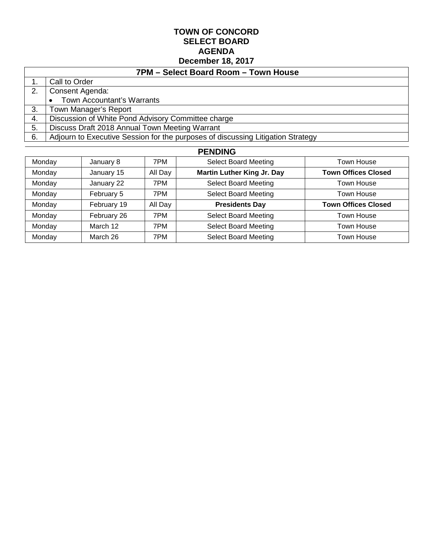#### **TOWN OF CONCORD SELECT BOARD AGENDA December 18, 2017**

| 7PM - Select Board Room - Town House |                                                                                 |  |  |  |  |
|--------------------------------------|---------------------------------------------------------------------------------|--|--|--|--|
|                                      | Call to Order                                                                   |  |  |  |  |
| 2.                                   | Consent Agenda:                                                                 |  |  |  |  |
|                                      | <b>Town Accountant's Warrants</b>                                               |  |  |  |  |
| 3.                                   | Town Manager's Report                                                           |  |  |  |  |
| 4.                                   | Discussion of White Pond Advisory Committee charge                              |  |  |  |  |
| 5.                                   | Discuss Draft 2018 Annual Town Meeting Warrant                                  |  |  |  |  |
| 6.                                   | Adjourn to Executive Session for the purposes of discussing Litigation Strategy |  |  |  |  |

| <b>PENDING</b> |             |         |                                   |                            |  |  |
|----------------|-------------|---------|-----------------------------------|----------------------------|--|--|
| Monday         | January 8   | 7PM     | <b>Select Board Meeting</b>       | Town House                 |  |  |
| Monday         | January 15  | All Day | <b>Martin Luther King Jr. Day</b> | <b>Town Offices Closed</b> |  |  |
| Monday         | January 22  | 7PM     | <b>Select Board Meeting</b>       | Town House                 |  |  |
| Monday         | February 5  | 7PM     | <b>Select Board Meeting</b>       | Town House                 |  |  |
| Monday         | February 19 | All Day | <b>Presidents Day</b>             | <b>Town Offices Closed</b> |  |  |
| Monday         | February 26 | 7PM     | <b>Select Board Meeting</b>       | Town House                 |  |  |
| Monday         | March 12    | 7PM     | <b>Select Board Meeting</b>       | Town House                 |  |  |
| Monday         | March 26    | 7PM     | <b>Select Board Meeting</b>       | Town House                 |  |  |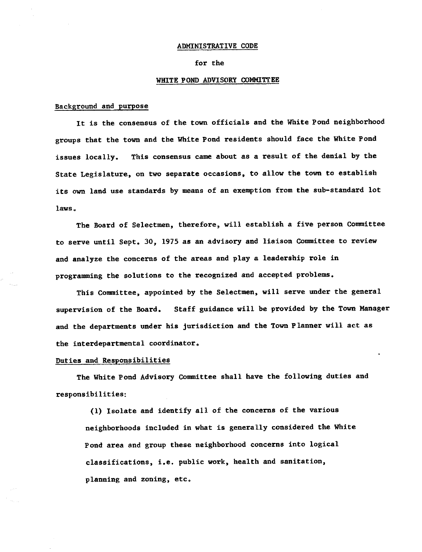#### ADMINISTRATIVE CODE

#### for the

#### WHITE POND ADVISORY COMMITTEE

#### Background and purpose

It is the consensus of the town officials and the White Pond neighborhood groups that the town and the White Pond residents should face the White Pond This consensus came about as a result of the denial by the issues locally. State Legislature, on two separate occasions, to allow the town to establish its own land use standards by means of an exemption from the sub-standard lot laws.

The Board of Selectmen, therefore, will establish a five person Committee to serve until Sept. 30, 1975 as an advisory and liaison Committee to review and analyze the concerns of the areas and play a leadership role in programming the solutions to the recognized and accepted problems.

This Committee, appointed by the Selectmen, will serve under the general Staff guidance will be provided by the Town Manager supervision of the Board. and the departments under his jurisdiction and the Town Planner will act as the interdepartmental coordinator.

#### Duties and Responsibilities

The White Pond Advisory Committee shall have the following duties and responsibilities:

(1) Isolate and identify all of the concerns of the various neighborhoods included in what is generally considered the White Pond area and group these neighborhood concerns into logical classifications, i.e. public work, health and sanitation, planning and zoning, etc.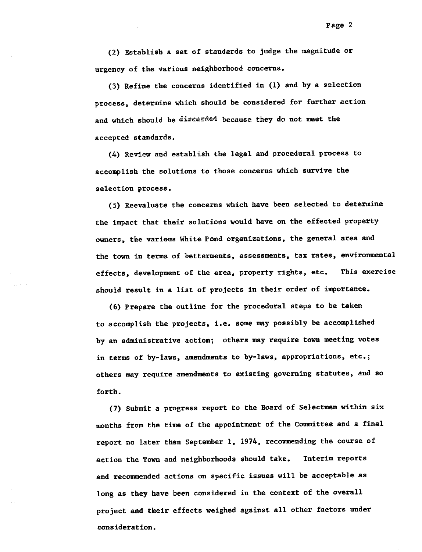(2) Establish a set of standards to judge the magnitude or urgency of the various neighborhood concerns.

(3) Refine the concerns identified in (1) and by a selection process, determine which should be considered for further action and which should be discarded because they do not meet the accepted standards.

(4) Review and establish the legal and procedural process to accomplish the solutions to those concerns which survive the selection process.

(5) Reevaluate the concerns which have been selected to determine the impact that their solutions would have on the effected property owners, the various White Pond organizations, the general area and the town in terms of betterments, assessments, tax rates, environmental effects, development of the area, property rights, etc. This exercise should result in a list of projects in their order of importance.

(6) Prepare the outline for the procedural steps to be taken to accomplish the projects, i.e. some may possibly be accomplished by an administrative action; others may require town meeting votes in terms of by-laws, amendments to by-laws, appropriations, etc.; others may require amendments to existing governing statutes, and so forth.

(7) Submit a progress report to the Board of Selectmen within six months from the time of the appointment of the Committee and a final report no later than September 1, 1974, recommending the course of action the Town and neighborhoods should take. Interim reports and recommended actions on specific issues will be acceptable as long as they have been considered in the context of the overall project and their effects weighed against all other factors under consideration.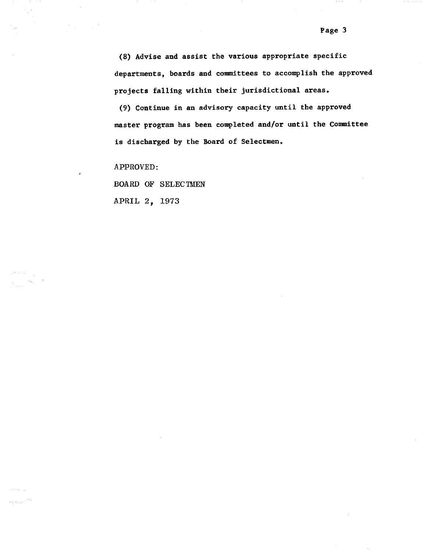(9) Continue in an advisory capacity until the approved master program has been completed and/or until the Committee is discharged by the Board of Selectmen.

APPROVED:

 $\mathcal{A}^{\pm}$ 

a kacamatan Ing

 $\sigma_{\rm{max}}=1.01$ 

BOARD OF SELECTMEN

APRIL 2, 1973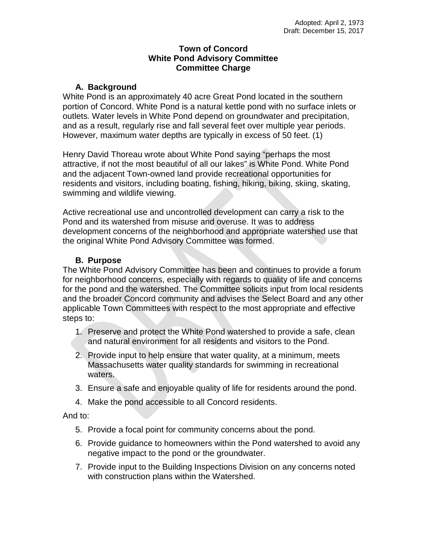## **Town of Concord White Pond Advisory Committee Committee Charge**

## **A. Background**

White Pond is an approximately 40 acre Great Pond located in the southern portion of Concord. White Pond is a natural kettle pond with no surface inlets or outlets. Water levels in White Pond depend on groundwater and precipitation, and as a result, regularly rise and fall several feet over multiple year periods. However, maximum water depths are typically in excess of 50 feet. (1)

Henry David Thoreau wrote about White Pond saying "perhaps the most attractive, if not the most beautiful of all our lakes" is White Pond. White Pond and the adjacent Town-owned land provide recreational opportunities for residents and visitors, including boating, fishing, hiking, biking, skiing, skating, swimming and wildlife viewing.

Active recreational use and uncontrolled development can carry a risk to the Pond and its watershed from misuse and overuse. It was to address development concerns of the neighborhood and appropriate watershed use that the original White Pond Advisory Committee was formed.

## **B. Purpose**

The White Pond Advisory Committee has been and continues to provide a forum for neighborhood concerns, especially with regards to quality of life and concerns for the pond and the watershed. The Committee solicits input from local residents and the broader Concord community and advises the Select Board and any other applicable Town Committees with respect to the most appropriate and effective steps to:

- 1. Preserve and protect the White Pond watershed to provide a safe, clean and natural environment for all residents and visitors to the Pond.
- 2. Provide input to help ensure that water quality, at a minimum, meets Massachusetts water quality standards for swimming in recreational waters.
- 3. Ensure a safe and enjoyable quality of life for residents around the pond.
- 4. Make the pond accessible to all Concord residents.

And to:

- 5. Provide a focal point for community concerns about the pond.
- 6. Provide guidance to homeowners within the Pond watershed to avoid any negative impact to the pond or the groundwater.
- 7. Provide input to the Building Inspections Division on any concerns noted with construction plans within the Watershed.